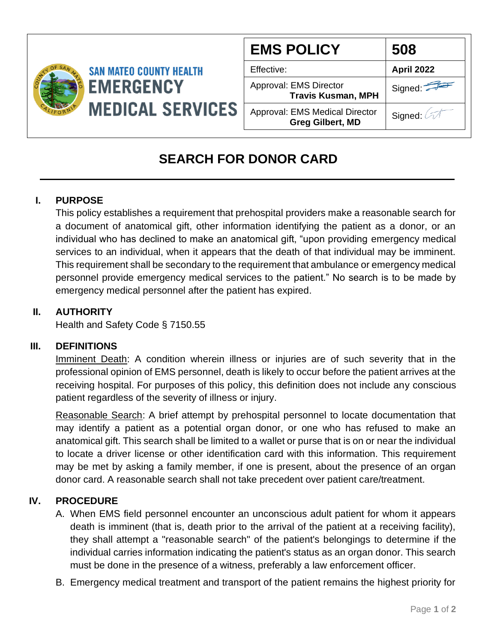

| <b>EMS POLICY</b>                                                | 508               |
|------------------------------------------------------------------|-------------------|
| Effective:                                                       | <b>April 2022</b> |
| Approval: EMS Director<br><b>Travis Kusman, MPH</b>              | Signed:           |
| <b>Approval: EMS Medical Director</b><br><b>Greg Gilbert, MD</b> | Signed: 4         |

# **SEARCH FOR DONOR CARD**

## **I. PURPOSE**

This policy establishes a requirement that prehospital providers make a reasonable search for a document of anatomical gift, other information identifying the patient as a donor, or an individual who has declined to make an anatomical gift, "upon providing emergency medical services to an individual, when it appears that the death of that individual may be imminent. This requirement shall be secondary to the requirement that ambulance or emergency medical personnel provide emergency medical services to the patient." No search is to be made by emergency medical personnel after the patient has expired.

## **II. AUTHORITY**

Health and Safety Code § 7150.55

### **III. DEFINITIONS**

Imminent Death: A condition wherein illness or injuries are of such severity that in the professional opinion of EMS personnel, death is likely to occur before the patient arrives at the receiving hospital. For purposes of this policy, this definition does not include any conscious patient regardless of the severity of illness or injury.

Reasonable Search: A brief attempt by prehospital personnel to locate documentation that may identify a patient as a potential organ donor, or one who has refused to make an anatomical gift. This search shall be limited to a wallet or purse that is on or near the individual to locate a driver license or other identification card with this information. This requirement may be met by asking a family member, if one is present, about the presence of an organ donor card. A reasonable search shall not take precedent over patient care/treatment.

### **IV. PROCEDURE**

- A. When EMS field personnel encounter an unconscious adult patient for whom it appears death is imminent (that is, death prior to the arrival of the patient at a receiving facility), they shall attempt a "reasonable search" of the patient's belongings to determine if the individual carries information indicating the patient's status as an organ donor. This search must be done in the presence of a witness, preferably a law enforcement officer.
- B. Emergency medical treatment and transport of the patient remains the highest priority for